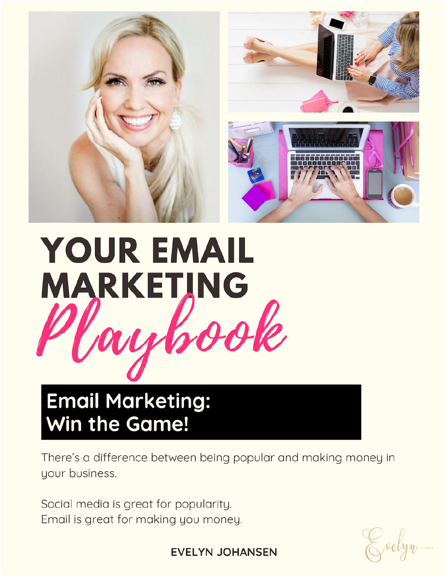

# **YOUR EMAIL MARKETING**

# **Email Marketing:** Win the Game!

There's a difference between being popular and making money in your business.

Social media is great for popularity. Email is great for making you money.

**EVELYN JOHANSEN**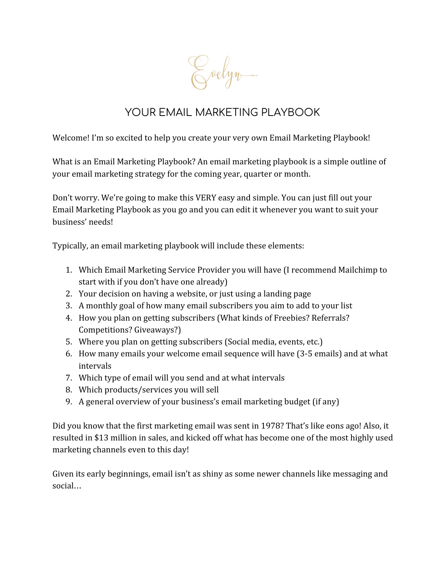Evelyn

# YOUR EMAIL MARKETING PLAYBOOK

Welcome! I'm so excited to help you create your very own Email Marketing Playbook!

What is an Email Marketing Playbook? An email marketing playbook is a simple outline of your email marketing strategy for the coming year, quarter or month.

Don't worry. We're going to make this VERY easy and simple. You can just fill out your Email Marketing Playbook as you go and you can edit it whenever you want to suit your business' needs!

Typically, an email marketing playbook will include these elements:

- 1. Which Email Marketing Service Provider you will have (I recommend Mailchimp to start with if you don't have one already)
- 2. Your decision on having a website, or just using a landing page
- 3. A monthly goal of how many email subscribers you aim to add to your list
- 4. How you plan on getting subscribers (What kinds of Freebies? Referrals? Competitions? Giveaways?)
- 5. Where you plan on getting subscribers (Social media, events, etc.)
- 6. How many emails your welcome email sequence will have (3-5 emails) and at what intervals
- 7. Which type of email will you send and at what intervals
- 8. Which products/services you will sell
- 9. A general overview of your business's email marketing budget (if any)

Did you know that the first marketing email was sent in 1978? That's like eons ago! Also, it resulted in \$13 million in sales, and kicked off what has become one of the most highly used marketing channels even to this day!

Given its early beginnings, email isn't as shiny as some newer channels like messaging and social…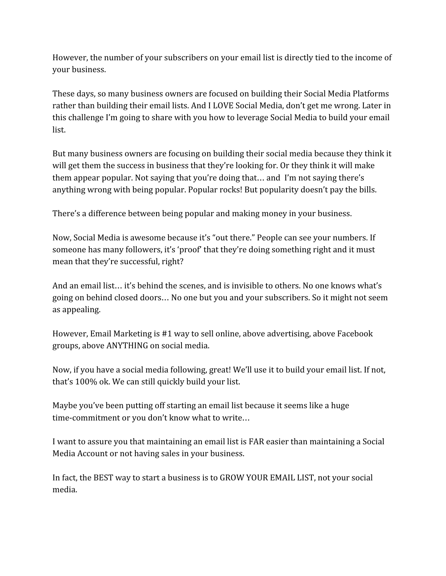However, the number of your subscribers on your email list is directly tied to the income of your business.

These days, so many business owners are focused on building their Social Media Platforms rather than building their email lists. And I LOVE Social Media, don't get me wrong. Later in this challenge I'm going to share with you how to leverage Social Media to build your email list.

But many business owners are focusing on building their social media because they think it will get them the success in business that they're looking for. Or they think it will make them appear popular. Not saying that you're doing that… and I'm not saying there's anything wrong with being popular. Popular rocks! But popularity doesn't pay the bills.

There's a difference between being popular and making money in your business.

Now, Social Media is awesome because it's "out there." People can see your numbers. If someone has many followers, it's 'proof' that they're doing something right and it must mean that they're successful, right?

And an email list… it's behind the scenes, and is invisible to others. No one knows what's going on behind closed doors… No one but you and your subscribers. So it might not seem as appealing.

However, Email Marketing is #1 way to sell online, above advertising, above Facebook groups, above ANYTHING on social media.

Now, if you have a social media following, great! We'll use it to build your email list. If not, that's 100% ok. We can still quickly build your list.

Maybe you've been putting off starting an email list because it seems like a huge time-commitment or you don't know what to write…

I want to assure you that maintaining an email list is FAR easier than maintaining a Social Media Account or not having sales in your business.

In fact, the BEST way to start a business is to GROW YOUR EMAIL LIST, not your social media.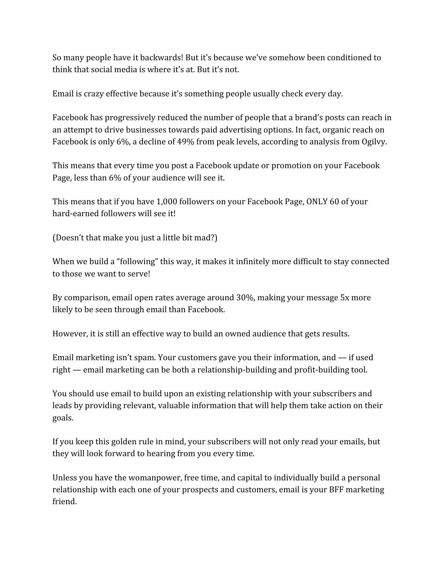So many people have it backwards! But it's because we've somehow been conditioned to think that social media is where it's at. But it's not.

Email is crazy effective because it's something people usually check every day.

Facebook has progressively reduced the number of people that a brand's posts can reach in an attempt to drive businesses towards paid advertising options. In fact, organic reach on Facebook is only 6%, a decline of 49% from peak levels, according to analysis from Ogilvy.

This means that every time you post a Facebook update or promotion on your Facebook Page, less than 6% of your audience will see it.

This means that if you have 1,000 followers on your Facebook Page, ONLY 60 of your hard-earned followers will see it!

(Doesn't that make you just a little bit mad?)

When we build a "following" this way, it makes it infinitely more difficult to stay connected to those we want to serve!

By comparison, email open rates average around 30%, making your message 5x more likely to be seen through email than Facebook.

However, it is still an effective way to build an owned audience that gets results.

Email marketing isn't spam. Your customers gave you their information, and — if used right — email marketing can be both a relationship-building and profit-building tool.

You should use email to build upon an existing relationship with your subscribers and leads by providing relevant, valuable information that will help them take action on their goals.

If you keep this golden rule in mind, your subscribers will not only read your emails, but they will look forward to hearing from you every time.

Unless you have the womanpower, free time, and capital to individually build a personal relationship with each one of your prospects and customers, email is your BFF marketing friend.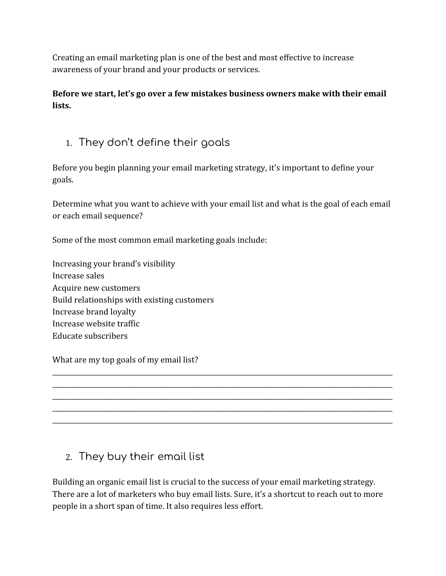Creating an email marketing plan is one of the best and most effective to increase awareness of your brand and your products or services.

**Before we start, let's go over a few mistakes business owners make with their email lists.**

1. They don't define their goals

Before you begin planning your email marketing strategy, it's important to define your goals.

Determine what you want to achieve with your email list and what is the goal of each email or each email sequence?

Some of the most common email marketing goals include:

Increasing your brand's visibility Increase sales Acquire new customers Build relationships with existing customers Increase brand loyalty Increase website traffic Educate subscribers

What are my top goals of my email list?

# 2. They buy their email list

Building an organic email list is crucial to the success of your email marketing strategy. There are a lot of marketers who buy email lists. Sure, it's a shortcut to reach out to more people in a short span of time. It also requires less effort.

\_\_\_\_\_\_\_\_\_\_\_\_\_\_\_\_\_\_\_\_\_\_\_\_\_\_\_\_\_\_\_\_\_\_\_\_\_\_\_\_\_\_\_\_\_\_\_\_\_\_\_\_\_\_\_\_\_\_\_\_\_\_\_\_\_\_\_\_\_\_\_\_\_\_\_\_\_\_\_\_\_\_\_\_\_\_\_\_\_\_\_\_\_\_\_\_\_\_\_\_\_\_\_\_\_ \_\_\_\_\_\_\_\_\_\_\_\_\_\_\_\_\_\_\_\_\_\_\_\_\_\_\_\_\_\_\_\_\_\_\_\_\_\_\_\_\_\_\_\_\_\_\_\_\_\_\_\_\_\_\_\_\_\_\_\_\_\_\_\_\_\_\_\_\_\_\_\_\_\_\_\_\_\_\_\_\_\_\_\_\_\_\_\_\_\_\_\_\_\_\_\_\_\_\_\_\_\_\_\_\_ \_\_\_\_\_\_\_\_\_\_\_\_\_\_\_\_\_\_\_\_\_\_\_\_\_\_\_\_\_\_\_\_\_\_\_\_\_\_\_\_\_\_\_\_\_\_\_\_\_\_\_\_\_\_\_\_\_\_\_\_\_\_\_\_\_\_\_\_\_\_\_\_\_\_\_\_\_\_\_\_\_\_\_\_\_\_\_\_\_\_\_\_\_\_\_\_\_\_\_\_\_\_\_\_\_ \_\_\_\_\_\_\_\_\_\_\_\_\_\_\_\_\_\_\_\_\_\_\_\_\_\_\_\_\_\_\_\_\_\_\_\_\_\_\_\_\_\_\_\_\_\_\_\_\_\_\_\_\_\_\_\_\_\_\_\_\_\_\_\_\_\_\_\_\_\_\_\_\_\_\_\_\_\_\_\_\_\_\_\_\_\_\_\_\_\_\_\_\_\_\_\_\_\_\_\_\_\_\_\_\_ \_\_\_\_\_\_\_\_\_\_\_\_\_\_\_\_\_\_\_\_\_\_\_\_\_\_\_\_\_\_\_\_\_\_\_\_\_\_\_\_\_\_\_\_\_\_\_\_\_\_\_\_\_\_\_\_\_\_\_\_\_\_\_\_\_\_\_\_\_\_\_\_\_\_\_\_\_\_\_\_\_\_\_\_\_\_\_\_\_\_\_\_\_\_\_\_\_\_\_\_\_\_\_\_\_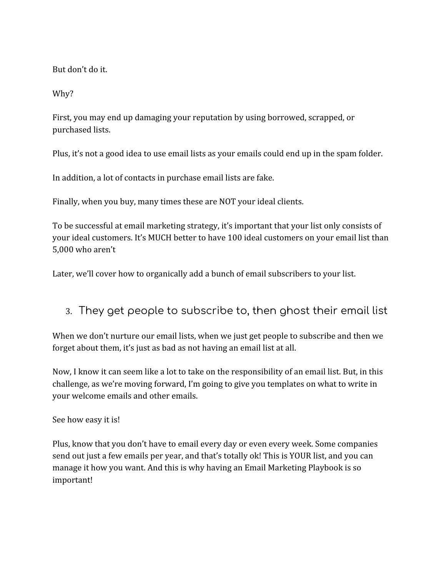But don't do it.

Why?

First, you may end up damaging your reputation by using borrowed, scrapped, or purchased lists.

Plus, it's not a good idea to use email lists as your emails could end up in the spam folder.

In addition, a lot of contacts in purchase email lists are fake.

Finally, when you buy, many times these are NOT your ideal clients.

To be successful at email marketing strategy, it's important that your list only consists of your ideal customers. It's MUCH better to have 100 ideal customers on your email list than 5,000 who aren't

Later, we'll cover how to organically add a bunch of email subscribers to your list.

### 3. They get people to subscribe to, then ghost their email list

When we don't nurture our email lists, when we just get people to subscribe and then we forget about them, it's just as bad as not having an email list at all.

Now, I know it can seem like a lot to take on the responsibility of an email list. But, in this challenge, as we're moving forward, I'm going to give you templates on what to write in your welcome emails and other emails.

See how easy it is!

Plus, know that you don't have to email every day or even every week. Some companies send out just a few emails per year, and that's totally ok! This is YOUR list, and you can manage it how you want. And this is why having an Email Marketing Playbook is so important!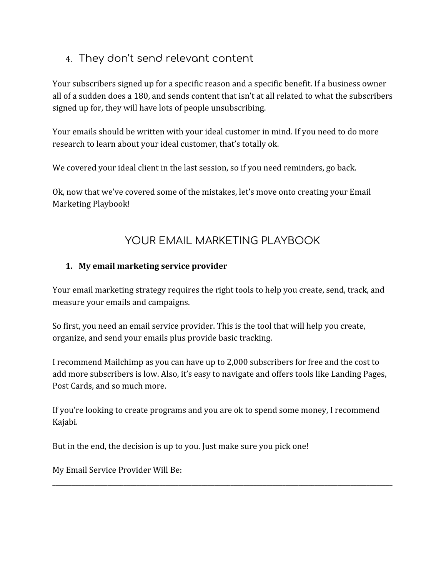# 4. They don't send relevant content

Your subscribers signed up for a specific reason and a specific benefit. If a business owner all of a sudden does a 180, and sends content that isn't at all related to what the subscribers signed up for, they will have lots of people unsubscribing.

Your emails should be written with your ideal customer in mind. If you need to do more research to learn about your ideal customer, that's totally ok.

We covered your ideal client in the last session, so if you need reminders, go back.

Ok, now that we've covered some of the mistakes, let's move onto creating your Email Marketing Playbook!

# YOUR EMAIL MARKETING PLAYBOOK

#### **1. My email marketing service provider**

Your email marketing strategy requires the right tools to help you create, send, track, and measure your emails and campaigns.

So first, you need an email service provider. This is the tool that will help you create, organize, and send your emails plus provide basic tracking.

I recommend Mailchimp as you can have up to 2,000 subscribers for free and the cost to add more subscribers is low. Also, it's easy to navigate and offers tools like Landing Pages, Post Cards, and so much more.

If you're looking to create programs and you are ok to spend some money, I recommend Kajabi.

\_\_\_\_\_\_\_\_\_\_\_\_\_\_\_\_\_\_\_\_\_\_\_\_\_\_\_\_\_\_\_\_\_\_\_\_\_\_\_\_\_\_\_\_\_\_\_\_\_\_\_\_\_\_\_\_\_\_\_\_\_\_\_\_\_\_\_\_\_\_\_\_\_\_\_\_\_\_\_\_\_\_\_\_\_\_\_\_\_\_\_\_\_\_\_\_\_\_\_\_\_\_\_\_\_

But in the end, the decision is up to you. Just make sure you pick one!

My Email Service Provider Will Be: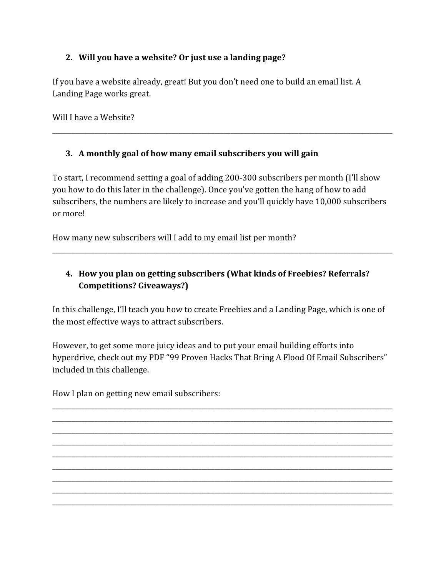#### **2. Will you have a website? Or just use a landing page?**

If you have a website already, great! But you don't need one to build an email list. A Landing Page works great.

Will I have a Website?

#### **3. A monthly goal of how many email subscribers you will gain**

To start, I recommend setting a goal of adding 200-300 subscribers per month (I'll show you how to do this later in the challenge). Once you've gotten the hang of how to add subscribers, the numbers are likely to increase and you'll quickly have 10,000 subscribers or more!

\_\_\_\_\_\_\_\_\_\_\_\_\_\_\_\_\_\_\_\_\_\_\_\_\_\_\_\_\_\_\_\_\_\_\_\_\_\_\_\_\_\_\_\_\_\_\_\_\_\_\_\_\_\_\_\_\_\_\_\_\_\_\_\_\_\_\_\_\_\_\_\_\_\_\_\_\_\_\_\_\_\_\_\_\_\_\_\_\_\_\_\_\_\_\_\_\_\_\_\_\_\_\_\_\_

How many new subscribers will I add to my email list per month?

#### **4. How you plan on getting subscribers (What kinds of Freebies? Referrals? Competitions? Giveaways?)**

\_\_\_\_\_\_\_\_\_\_\_\_\_\_\_\_\_\_\_\_\_\_\_\_\_\_\_\_\_\_\_\_\_\_\_\_\_\_\_\_\_\_\_\_\_\_\_\_\_\_\_\_\_\_\_\_\_\_\_\_\_\_\_\_\_\_\_\_\_\_\_\_\_\_\_\_\_\_\_\_\_\_\_\_\_\_\_\_\_\_\_\_\_\_\_\_\_\_\_\_\_\_\_\_\_

In this challenge, I'll teach you how to create Freebies and a Landing Page, which is one of the most effective ways to attract subscribers.

However, to get some more juicy ideas and to put your email building efforts into hyperdrive, check out my PDF "99 Proven Hacks That Bring A Flood Of Email Subscribers" included in this challenge.

\_\_\_\_\_\_\_\_\_\_\_\_\_\_\_\_\_\_\_\_\_\_\_\_\_\_\_\_\_\_\_\_\_\_\_\_\_\_\_\_\_\_\_\_\_\_\_\_\_\_\_\_\_\_\_\_\_\_\_\_\_\_\_\_\_\_\_\_\_\_\_\_\_\_\_\_\_\_\_\_\_\_\_\_\_\_\_\_\_\_\_\_\_\_\_\_\_\_\_\_\_\_\_\_\_

How I plan on getting new email subscribers:

\_\_\_\_\_\_\_\_\_\_\_\_\_\_\_\_\_\_\_\_\_\_\_\_\_\_\_\_\_\_\_\_\_\_\_\_\_\_\_\_\_\_\_\_\_\_\_\_\_\_\_\_\_\_\_\_\_\_\_\_\_\_\_\_\_\_\_\_\_\_\_\_\_\_\_\_\_\_\_\_\_\_\_\_\_\_\_\_\_\_\_\_\_\_\_\_\_\_\_\_\_\_\_\_\_ \_\_\_\_\_\_\_\_\_\_\_\_\_\_\_\_\_\_\_\_\_\_\_\_\_\_\_\_\_\_\_\_\_\_\_\_\_\_\_\_\_\_\_\_\_\_\_\_\_\_\_\_\_\_\_\_\_\_\_\_\_\_\_\_\_\_\_\_\_\_\_\_\_\_\_\_\_\_\_\_\_\_\_\_\_\_\_\_\_\_\_\_\_\_\_\_\_\_\_\_\_\_\_\_\_ \_\_\_\_\_\_\_\_\_\_\_\_\_\_\_\_\_\_\_\_\_\_\_\_\_\_\_\_\_\_\_\_\_\_\_\_\_\_\_\_\_\_\_\_\_\_\_\_\_\_\_\_\_\_\_\_\_\_\_\_\_\_\_\_\_\_\_\_\_\_\_\_\_\_\_\_\_\_\_\_\_\_\_\_\_\_\_\_\_\_\_\_\_\_\_\_\_\_\_\_\_\_\_\_\_ \_\_\_\_\_\_\_\_\_\_\_\_\_\_\_\_\_\_\_\_\_\_\_\_\_\_\_\_\_\_\_\_\_\_\_\_\_\_\_\_\_\_\_\_\_\_\_\_\_\_\_\_\_\_\_\_\_\_\_\_\_\_\_\_\_\_\_\_\_\_\_\_\_\_\_\_\_\_\_\_\_\_\_\_\_\_\_\_\_\_\_\_\_\_\_\_\_\_\_\_\_\_\_\_\_ \_\_\_\_\_\_\_\_\_\_\_\_\_\_\_\_\_\_\_\_\_\_\_\_\_\_\_\_\_\_\_\_\_\_\_\_\_\_\_\_\_\_\_\_\_\_\_\_\_\_\_\_\_\_\_\_\_\_\_\_\_\_\_\_\_\_\_\_\_\_\_\_\_\_\_\_\_\_\_\_\_\_\_\_\_\_\_\_\_\_\_\_\_\_\_\_\_\_\_\_\_\_\_\_\_ \_\_\_\_\_\_\_\_\_\_\_\_\_\_\_\_\_\_\_\_\_\_\_\_\_\_\_\_\_\_\_\_\_\_\_\_\_\_\_\_\_\_\_\_\_\_\_\_\_\_\_\_\_\_\_\_\_\_\_\_\_\_\_\_\_\_\_\_\_\_\_\_\_\_\_\_\_\_\_\_\_\_\_\_\_\_\_\_\_\_\_\_\_\_\_\_\_\_\_\_\_\_\_\_\_ \_\_\_\_\_\_\_\_\_\_\_\_\_\_\_\_\_\_\_\_\_\_\_\_\_\_\_\_\_\_\_\_\_\_\_\_\_\_\_\_\_\_\_\_\_\_\_\_\_\_\_\_\_\_\_\_\_\_\_\_\_\_\_\_\_\_\_\_\_\_\_\_\_\_\_\_\_\_\_\_\_\_\_\_\_\_\_\_\_\_\_\_\_\_\_\_\_\_\_\_\_\_\_\_\_ \_\_\_\_\_\_\_\_\_\_\_\_\_\_\_\_\_\_\_\_\_\_\_\_\_\_\_\_\_\_\_\_\_\_\_\_\_\_\_\_\_\_\_\_\_\_\_\_\_\_\_\_\_\_\_\_\_\_\_\_\_\_\_\_\_\_\_\_\_\_\_\_\_\_\_\_\_\_\_\_\_\_\_\_\_\_\_\_\_\_\_\_\_\_\_\_\_\_\_\_\_\_\_\_\_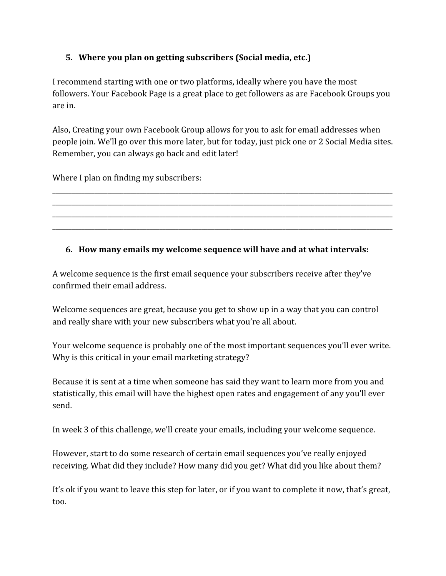#### **5. Where you plan on getting subscribers (Social media, etc.)**

I recommend starting with one or two platforms, ideally where you have the most followers. Your Facebook Page is a great place to get followers as are Facebook Groups you are in.

Also, Creating your own Facebook Group allows for you to ask for email addresses when people join. We'll go over this more later, but for today, just pick one or 2 Social Media sites. Remember, you can always go back and edit later!

\_\_\_\_\_\_\_\_\_\_\_\_\_\_\_\_\_\_\_\_\_\_\_\_\_\_\_\_\_\_\_\_\_\_\_\_\_\_\_\_\_\_\_\_\_\_\_\_\_\_\_\_\_\_\_\_\_\_\_\_\_\_\_\_\_\_\_\_\_\_\_\_\_\_\_\_\_\_\_\_\_\_\_\_\_\_\_\_\_\_\_\_\_\_\_\_\_\_\_\_\_\_\_\_\_ \_\_\_\_\_\_\_\_\_\_\_\_\_\_\_\_\_\_\_\_\_\_\_\_\_\_\_\_\_\_\_\_\_\_\_\_\_\_\_\_\_\_\_\_\_\_\_\_\_\_\_\_\_\_\_\_\_\_\_\_\_\_\_\_\_\_\_\_\_\_\_\_\_\_\_\_\_\_\_\_\_\_\_\_\_\_\_\_\_\_\_\_\_\_\_\_\_\_\_\_\_\_\_\_\_ \_\_\_\_\_\_\_\_\_\_\_\_\_\_\_\_\_\_\_\_\_\_\_\_\_\_\_\_\_\_\_\_\_\_\_\_\_\_\_\_\_\_\_\_\_\_\_\_\_\_\_\_\_\_\_\_\_\_\_\_\_\_\_\_\_\_\_\_\_\_\_\_\_\_\_\_\_\_\_\_\_\_\_\_\_\_\_\_\_\_\_\_\_\_\_\_\_\_\_\_\_\_\_\_\_ \_\_\_\_\_\_\_\_\_\_\_\_\_\_\_\_\_\_\_\_\_\_\_\_\_\_\_\_\_\_\_\_\_\_\_\_\_\_\_\_\_\_\_\_\_\_\_\_\_\_\_\_\_\_\_\_\_\_\_\_\_\_\_\_\_\_\_\_\_\_\_\_\_\_\_\_\_\_\_\_\_\_\_\_\_\_\_\_\_\_\_\_\_\_\_\_\_\_\_\_\_\_\_\_\_

Where I plan on finding my subscribers:

#### **6. How many emails my welcome sequence will have and at what intervals:**

A welcome sequence is the first email sequence your subscribers receive after they've confirmed their email address.

Welcome sequences are great, because you get to show up in a way that you can control and really share with your new subscribers what you're all about.

Your welcome sequence is probably one of the most important sequences you'll ever write. Why is this critical in your email marketing strategy?

Because it is sent at a time when someone has said they want to learn more from you and statistically, this email will have the highest open rates and engagement of any you'll ever send.

In week 3 of this challenge, we'll create your emails, including your welcome sequence.

However, start to do some research of certain email sequences you've really enjoyed receiving. What did they include? How many did you get? What did you like about them?

It's ok if you want to leave this step for later, or if you want to complete it now, that's great, too.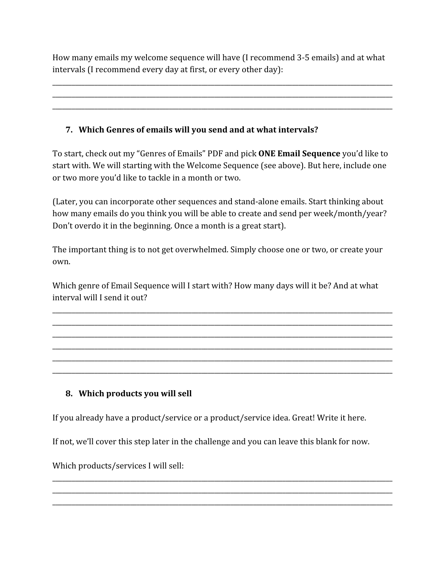How many emails my welcome sequence will have (I recommend 3-5 emails) and at what intervals (I recommend every day at first, or every other day):

\_\_\_\_\_\_\_\_\_\_\_\_\_\_\_\_\_\_\_\_\_\_\_\_\_\_\_\_\_\_\_\_\_\_\_\_\_\_\_\_\_\_\_\_\_\_\_\_\_\_\_\_\_\_\_\_\_\_\_\_\_\_\_\_\_\_\_\_\_\_\_\_\_\_\_\_\_\_\_\_\_\_\_\_\_\_\_\_\_\_\_\_\_\_\_\_\_\_\_\_\_\_\_\_\_ \_\_\_\_\_\_\_\_\_\_\_\_\_\_\_\_\_\_\_\_\_\_\_\_\_\_\_\_\_\_\_\_\_\_\_\_\_\_\_\_\_\_\_\_\_\_\_\_\_\_\_\_\_\_\_\_\_\_\_\_\_\_\_\_\_\_\_\_\_\_\_\_\_\_\_\_\_\_\_\_\_\_\_\_\_\_\_\_\_\_\_\_\_\_\_\_\_\_\_\_\_\_\_\_\_ \_\_\_\_\_\_\_\_\_\_\_\_\_\_\_\_\_\_\_\_\_\_\_\_\_\_\_\_\_\_\_\_\_\_\_\_\_\_\_\_\_\_\_\_\_\_\_\_\_\_\_\_\_\_\_\_\_\_\_\_\_\_\_\_\_\_\_\_\_\_\_\_\_\_\_\_\_\_\_\_\_\_\_\_\_\_\_\_\_\_\_\_\_\_\_\_\_\_\_\_\_\_\_\_\_

#### **7. Which Genres of emails will you send and at what intervals?**

To start, check out my "Genres of Emails" PDF and pick **ONE Email Sequence** you'd like to start with. We will starting with the Welcome Sequence (see above). But here, include one or two more you'd like to tackle in a month or two.

(Later, you can incorporate other sequences and stand-alone emails. Start thinking about how many emails do you think you will be able to create and send per week/month/year? Don't overdo it in the beginning. Once a month is a great start).

The important thing is to not get overwhelmed. Simply choose one or two, or create your own.

Which genre of Email Sequence will I start with? How many days will it be? And at what interval will I send it out?

\_\_\_\_\_\_\_\_\_\_\_\_\_\_\_\_\_\_\_\_\_\_\_\_\_\_\_\_\_\_\_\_\_\_\_\_\_\_\_\_\_\_\_\_\_\_\_\_\_\_\_\_\_\_\_\_\_\_\_\_\_\_\_\_\_\_\_\_\_\_\_\_\_\_\_\_\_\_\_\_\_\_\_\_\_\_\_\_\_\_\_\_\_\_\_\_\_\_\_\_\_\_\_\_\_ \_\_\_\_\_\_\_\_\_\_\_\_\_\_\_\_\_\_\_\_\_\_\_\_\_\_\_\_\_\_\_\_\_\_\_\_\_\_\_\_\_\_\_\_\_\_\_\_\_\_\_\_\_\_\_\_\_\_\_\_\_\_\_\_\_\_\_\_\_\_\_\_\_\_\_\_\_\_\_\_\_\_\_\_\_\_\_\_\_\_\_\_\_\_\_\_\_\_\_\_\_\_\_\_\_ \_\_\_\_\_\_\_\_\_\_\_\_\_\_\_\_\_\_\_\_\_\_\_\_\_\_\_\_\_\_\_\_\_\_\_\_\_\_\_\_\_\_\_\_\_\_\_\_\_\_\_\_\_\_\_\_\_\_\_\_\_\_\_\_\_\_\_\_\_\_\_\_\_\_\_\_\_\_\_\_\_\_\_\_\_\_\_\_\_\_\_\_\_\_\_\_\_\_\_\_\_\_\_\_\_ \_\_\_\_\_\_\_\_\_\_\_\_\_\_\_\_\_\_\_\_\_\_\_\_\_\_\_\_\_\_\_\_\_\_\_\_\_\_\_\_\_\_\_\_\_\_\_\_\_\_\_\_\_\_\_\_\_\_\_\_\_\_\_\_\_\_\_\_\_\_\_\_\_\_\_\_\_\_\_\_\_\_\_\_\_\_\_\_\_\_\_\_\_\_\_\_\_\_\_\_\_\_\_\_\_ \_\_\_\_\_\_\_\_\_\_\_\_\_\_\_\_\_\_\_\_\_\_\_\_\_\_\_\_\_\_\_\_\_\_\_\_\_\_\_\_\_\_\_\_\_\_\_\_\_\_\_\_\_\_\_\_\_\_\_\_\_\_\_\_\_\_\_\_\_\_\_\_\_\_\_\_\_\_\_\_\_\_\_\_\_\_\_\_\_\_\_\_\_\_\_\_\_\_\_\_\_\_\_\_\_ \_\_\_\_\_\_\_\_\_\_\_\_\_\_\_\_\_\_\_\_\_\_\_\_\_\_\_\_\_\_\_\_\_\_\_\_\_\_\_\_\_\_\_\_\_\_\_\_\_\_\_\_\_\_\_\_\_\_\_\_\_\_\_\_\_\_\_\_\_\_\_\_\_\_\_\_\_\_\_\_\_\_\_\_\_\_\_\_\_\_\_\_\_\_\_\_\_\_\_\_\_\_\_\_\_

#### **8. Which products you will sell**

If you already have a product/service or a product/service idea. Great! Write it here.

If not, we'll cover this step later in the challenge and you can leave this blank for now.

\_\_\_\_\_\_\_\_\_\_\_\_\_\_\_\_\_\_\_\_\_\_\_\_\_\_\_\_\_\_\_\_\_\_\_\_\_\_\_\_\_\_\_\_\_\_\_\_\_\_\_\_\_\_\_\_\_\_\_\_\_\_\_\_\_\_\_\_\_\_\_\_\_\_\_\_\_\_\_\_\_\_\_\_\_\_\_\_\_\_\_\_\_\_\_\_\_\_\_\_\_\_\_\_\_ \_\_\_\_\_\_\_\_\_\_\_\_\_\_\_\_\_\_\_\_\_\_\_\_\_\_\_\_\_\_\_\_\_\_\_\_\_\_\_\_\_\_\_\_\_\_\_\_\_\_\_\_\_\_\_\_\_\_\_\_\_\_\_\_\_\_\_\_\_\_\_\_\_\_\_\_\_\_\_\_\_\_\_\_\_\_\_\_\_\_\_\_\_\_\_\_\_\_\_\_\_\_\_\_\_ \_\_\_\_\_\_\_\_\_\_\_\_\_\_\_\_\_\_\_\_\_\_\_\_\_\_\_\_\_\_\_\_\_\_\_\_\_\_\_\_\_\_\_\_\_\_\_\_\_\_\_\_\_\_\_\_\_\_\_\_\_\_\_\_\_\_\_\_\_\_\_\_\_\_\_\_\_\_\_\_\_\_\_\_\_\_\_\_\_\_\_\_\_\_\_\_\_\_\_\_\_\_\_\_\_

Which products/services I will sell: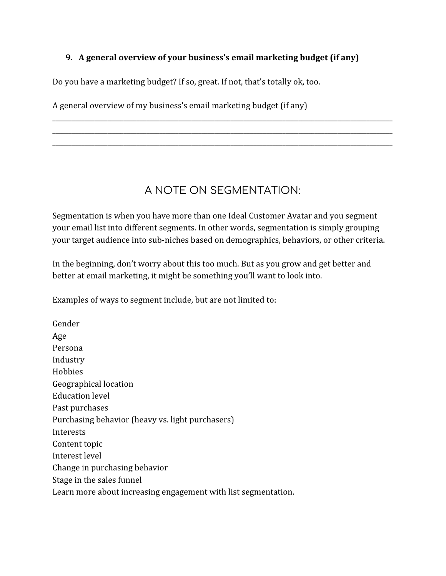#### **9. A general overview of your business's email marketing budget (if any)**

Do you have a marketing budget? If so, great. If not, that's totally ok, too.

A general overview of my business's email marketing budget (if any)

# A NOTE ON SEGMENTATION:

\_\_\_\_\_\_\_\_\_\_\_\_\_\_\_\_\_\_\_\_\_\_\_\_\_\_\_\_\_\_\_\_\_\_\_\_\_\_\_\_\_\_\_\_\_\_\_\_\_\_\_\_\_\_\_\_\_\_\_\_\_\_\_\_\_\_\_\_\_\_\_\_\_\_\_\_\_\_\_\_\_\_\_\_\_\_\_\_\_\_\_\_\_\_\_\_\_\_\_\_\_\_\_\_\_ \_\_\_\_\_\_\_\_\_\_\_\_\_\_\_\_\_\_\_\_\_\_\_\_\_\_\_\_\_\_\_\_\_\_\_\_\_\_\_\_\_\_\_\_\_\_\_\_\_\_\_\_\_\_\_\_\_\_\_\_\_\_\_\_\_\_\_\_\_\_\_\_\_\_\_\_\_\_\_\_\_\_\_\_\_\_\_\_\_\_\_\_\_\_\_\_\_\_\_\_\_\_\_\_\_ \_\_\_\_\_\_\_\_\_\_\_\_\_\_\_\_\_\_\_\_\_\_\_\_\_\_\_\_\_\_\_\_\_\_\_\_\_\_\_\_\_\_\_\_\_\_\_\_\_\_\_\_\_\_\_\_\_\_\_\_\_\_\_\_\_\_\_\_\_\_\_\_\_\_\_\_\_\_\_\_\_\_\_\_\_\_\_\_\_\_\_\_\_\_\_\_\_\_\_\_\_\_\_\_\_

Segmentation is when you have more than one Ideal Customer Avatar and you segment your email list into different segments. In other words, segmentation is simply grouping your target audience into sub-niches based on demographics, behaviors, or other criteria.

In the beginning, don't worry about this too much. But as you grow and get better and better at email marketing, it might be something you'll want to look into.

Examples of ways to segment include, but are not limited to:

Gender Age Persona Industry Hobbies Geographical location Education level Past purchases Purchasing behavior (heavy vs. light purchasers) Interests Content topic Interest level Change in purchasing behavior Stage in the sales funnel Learn more about increasing engagement with list segmentation.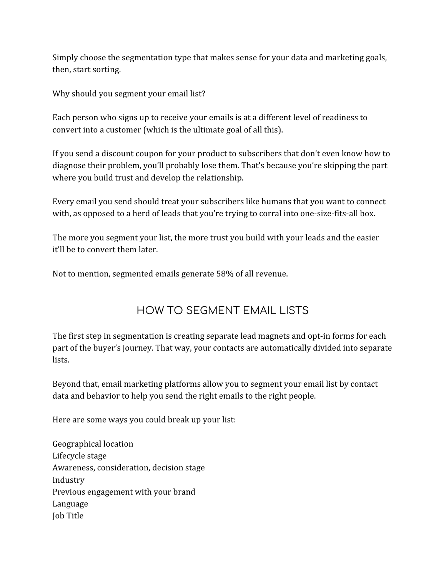Simply choose the segmentation type that makes sense for your data and marketing goals, then, start sorting.

Why should you segment your email list?

Each person who signs up to receive your emails is at a different level of readiness to convert into a customer (which is the ultimate goal of all this).

If you send a discount coupon for your product to subscribers that don't even know how to diagnose their problem, you'll probably lose them. That's because you're skipping the part where you build trust and develop the relationship.

Every email you send should treat your subscribers like humans that you want to connect with, as opposed to a herd of leads that you're trying to corral into one-size-fits-all box.

The more you segment your list, the more trust you build with your leads and the easier it'll be to convert them later.

Not to mention, segmented emails generate 58% of all revenue.

# HOW TO SEGMENT EMAIL LISTS

The first step in segmentation is creating separate lead magnets and opt-in forms for each part of the buyer's journey. That way, your contacts are automatically divided into separate lists.

Beyond that, email marketing platforms allow you to segment your email list by contact data and behavior to help you send the right emails to the right people.

Here are some ways you could break up your list:

Geographical location Lifecycle stage Awareness, consideration, decision stage Industry Previous engagement with your brand Language Job Title